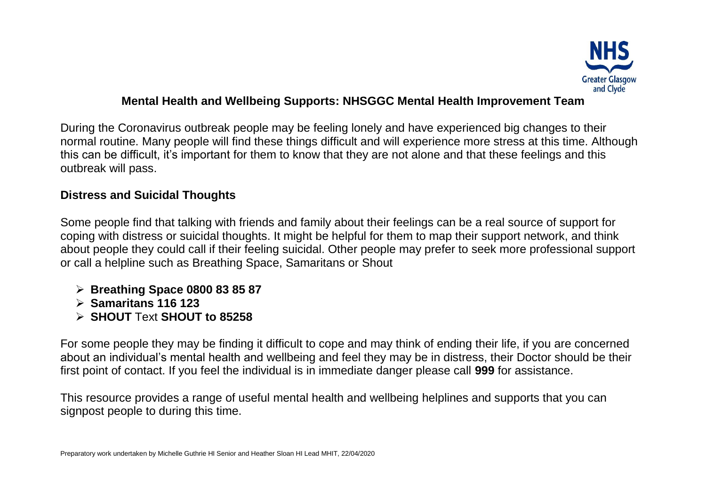

## **Mental Health and Wellbeing Supports: NHSGGC Mental Health Improvement Team**

During the Coronavirus outbreak people may be feeling lonely and have experienced big changes to their normal routine. Many people will find these things difficult and will experience more stress at this time. Although this can be difficult, it's important for them to know that they are not alone and that these feelings and this outbreak will pass.

## **Distress and Suicidal Thoughts**

Some people find that talking with friends and family about their feelings can be a real source of support for coping with distress or suicidal thoughts. It might be helpful for them to map their support network, and think about people they could call if their feeling suicidal. Other people may prefer to seek more professional support or call a helpline such as Breathing Space, Samaritans or Shout

- **Breathing Space 0800 83 85 87**
- **Samaritans 116 123**
- **SHOUT** Text **SHOUT to 85258**

For some people they may be finding it difficult to cope and may think of ending their life, if you are concerned about an individual's mental health and wellbeing and feel they may be in distress, their Doctor should be their first point of contact. If you feel the individual is in immediate danger please call **999** for assistance.

This resource provides a range of useful mental health and wellbeing helplines and supports that you can signpost people to during this time.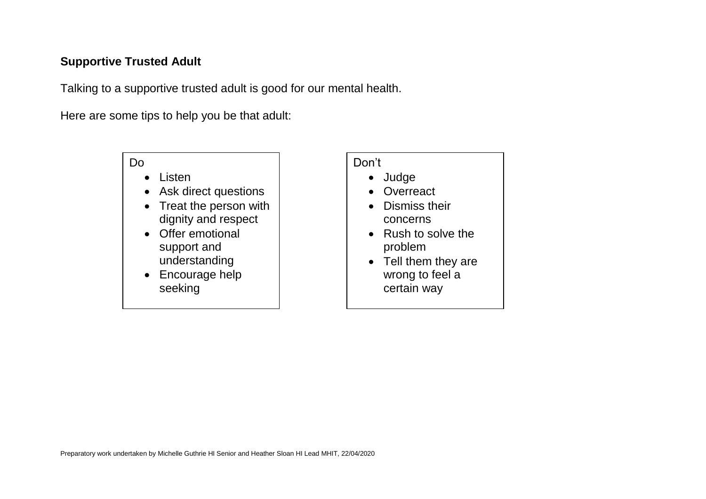## **Supportive Trusted Adult**

Talking to a supportive trusted adult is good for our mental health.

Here are some tips to help you be that adult:

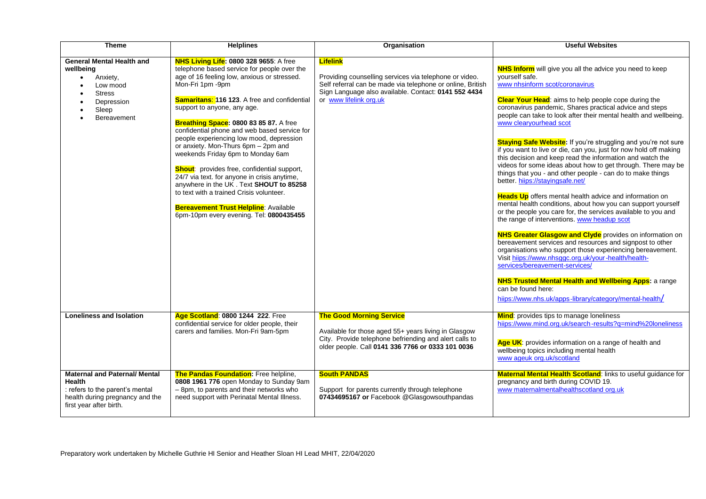| <b>Theme</b>                                                                                                                                           | <b>Helplines</b>                                                                                                                                                                                                                                                                                                                                                                                                                                                                                                                                                                                                                                                                                                                                         | Organisation                                                                                                                                                                                                              | <b>Useful Websites</b>                                                                                                                                                                                                                                                                                                                                                                                                                                                                                                                                                                                                                                                                                                                                                                                                                                                                                                                                                                                                                                                                                                                                                                                                                                                                                                                                                                            |
|--------------------------------------------------------------------------------------------------------------------------------------------------------|----------------------------------------------------------------------------------------------------------------------------------------------------------------------------------------------------------------------------------------------------------------------------------------------------------------------------------------------------------------------------------------------------------------------------------------------------------------------------------------------------------------------------------------------------------------------------------------------------------------------------------------------------------------------------------------------------------------------------------------------------------|---------------------------------------------------------------------------------------------------------------------------------------------------------------------------------------------------------------------------|---------------------------------------------------------------------------------------------------------------------------------------------------------------------------------------------------------------------------------------------------------------------------------------------------------------------------------------------------------------------------------------------------------------------------------------------------------------------------------------------------------------------------------------------------------------------------------------------------------------------------------------------------------------------------------------------------------------------------------------------------------------------------------------------------------------------------------------------------------------------------------------------------------------------------------------------------------------------------------------------------------------------------------------------------------------------------------------------------------------------------------------------------------------------------------------------------------------------------------------------------------------------------------------------------------------------------------------------------------------------------------------------------|
| <b>General Mental Health and</b><br>wellbeing<br>Anxiety,<br>$\bullet$<br>Low mood<br><b>Stress</b><br>$\bullet$<br>Depression<br>Sleep<br>Bereavement | NHS Living Life: 0800 328 9655: A free<br>telephone based service for people over the<br>age of 16 feeling low, anxious or stressed.<br>Mon-Fri 1pm -9pm<br><b>Samaritans: 116 123.</b> A free and confidential<br>support to anyone, any age.<br>Breathing Space: 0800 83 85 87. A free<br>confidential phone and web based service for<br>people experiencing low mood, depression<br>or anxiety. Mon-Thurs 6pm - 2pm and<br>weekends Friday 6pm to Monday 6am<br><b>Shout:</b> provides free, confidential support,<br>24/7 via text. for anyone in crisis anytime,<br>anywhere in the UK. Text SHOUT to 85258<br>to text with a trained Crisis volunteer.<br><b>Bereavement Trust Helpline: Available</b><br>6pm-10pm every evening. Tel: 0800435455 | <b>Lifelink</b><br>Providing counselling services via telephone or video.<br>Self referral can be made via telephone or online, British<br>Sign Language also available. Contact: 0141 552 4434<br>or www lifelink org.uk | <b>NHS Inform</b> will give you all the advice you need to keep<br>vourself safe.<br>www nhsinform scot/coronavirus<br><b>Clear Your Head:</b> aims to help people cope during the<br>coronavirus pandemic, Shares practical advice and steps<br>people can take to look after their mental health and wellbeing.<br>www clearyourhead scot<br>Staying Safe Website: If you're struggling and you're not sure<br>if you want to live or die, can you, just for now hold off making<br>this decision and keep read the information and watch the<br>videos for some ideas about how to get through. There may be<br>things that you - and other people - can do to make things<br>better hiips://stayingsafe.net/<br>Heads Up offers mental health advice and information on<br>mental health conditions, about how you can support yourself<br>or the people you care for, the services available to you and<br>the range of interventions. www headup scot<br><b>NHS Greater Glasgow and Clyde</b> provides on information on<br>bereavement services and resources and signpost to other<br>organisations who support those experiencing bereavement.<br>Visit hiips://www.nhsggc.org.uk/your-health/health-<br>services/bereavement-services/<br><b>NHS Trusted Mental Health and Wellbeing Apps: a range</b><br>can be found here:<br>hiips://www.nhs.uk/apps-library/category/mental-health/ |
| <b>Loneliness and Isolation</b>                                                                                                                        | Age Scotland: 0800 1244 222. Free<br>confidential service for older people, their<br>carers and families. Mon-Fri 9am-5pm                                                                                                                                                                                                                                                                                                                                                                                                                                                                                                                                                                                                                                | <b>The Good Morning Service</b><br>Available for those aged 55+ years living in Glasgow<br>City. Provide telephone befriending and alert calls to<br>older people. Call 0141 336 7766 or 0333 101 0036                    | Mind: provides tips to manage loneliness<br>hiips://www.mind.org.uk/search-results?q=mind%20loneliness<br>Age UK: provides information on a range of health and<br>wellbeing topics including mental health<br>www ageuk org.uk/scotland                                                                                                                                                                                                                                                                                                                                                                                                                                                                                                                                                                                                                                                                                                                                                                                                                                                                                                                                                                                                                                                                                                                                                          |
| <b>Maternal and Paternal/ Mental</b><br><b>Health</b><br>: refers to the parent's mental<br>health during pregnancy and the<br>first year after birth. | <b>The Pandas Foundation:</b> Free helpline,<br>0808 1961 776 open Monday to Sunday 9am<br>- 8pm, to parents and their networks who<br>need support with Perinatal Mental Illness.                                                                                                                                                                                                                                                                                                                                                                                                                                                                                                                                                                       | <b>South PANDAS</b><br>Support for parents currently through telephone<br>07434695167 or Facebook @Glasgowsouthpandas                                                                                                     | Maternal Mental Health Scotland: links to useful guidance for<br>pregnancy and birth during COVID 19.<br>www maternalmentalhealthscotland org.uk                                                                                                                                                                                                                                                                                                                                                                                                                                                                                                                                                                                                                                                                                                                                                                                                                                                                                                                                                                                                                                                                                                                                                                                                                                                  |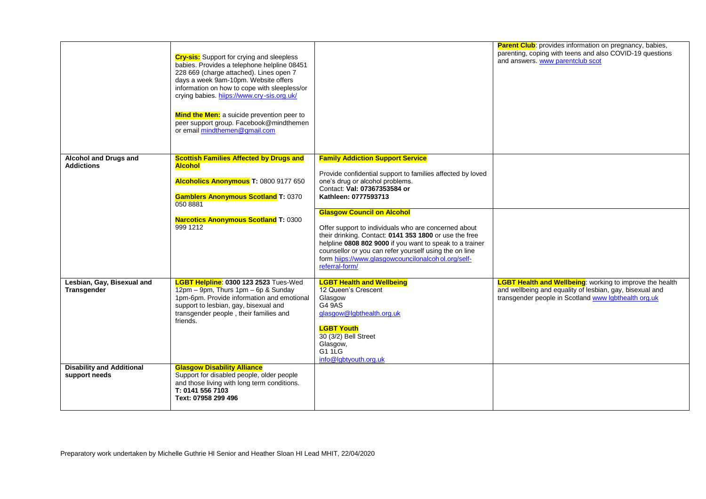|                                                   | <b>Cry-sis:</b> Support for crying and sleepless<br>babies. Provides a telephone helpline 08451<br>228 669 (charge attached). Lines open 7<br>days a week 9am-10pm. Website offers<br>information on how to cope with sleepless/or<br>crying babies. hiips://www.cry-sis.org.uk/<br><b>Mind the Men:</b> a suicide prevention peer to<br>peer support group. Facebook@mindthemen<br>or email mindthemen@gmail.com |                                                                                                                                                                                                                                                                                                                                                                                                                                                                                                                                                       | <b>Parent Club:</b> provides information on pregnancy, babies,<br>parenting, coping with teens and also COVID-19 questions<br>and answers. www parentclub scot                      |
|---------------------------------------------------|-------------------------------------------------------------------------------------------------------------------------------------------------------------------------------------------------------------------------------------------------------------------------------------------------------------------------------------------------------------------------------------------------------------------|-------------------------------------------------------------------------------------------------------------------------------------------------------------------------------------------------------------------------------------------------------------------------------------------------------------------------------------------------------------------------------------------------------------------------------------------------------------------------------------------------------------------------------------------------------|-------------------------------------------------------------------------------------------------------------------------------------------------------------------------------------|
| Alcohol and Drugs and<br><b>Addictions</b>        | <b>Scottish Families Affected by Drugs and</b><br><b>Alcohol</b><br>Alcoholics Anonymous T: 0800 9177 650<br><b>Gamblers Anonymous Scotland T: 0370</b><br>050 8881<br><b>Narcotics Anonymous Scotland T: 0300</b><br>999 1212                                                                                                                                                                                    | <b>Family Addiction Support Service</b><br>Provide confidential support to families affected by loved<br>one's drug or alcohol problems.<br>Contact: Val: 07367353584 or<br>Kathleen: 0777593713<br><b>Glasgow Council on Alcohol</b><br>Offer support to individuals who are concerned about<br>their drinking. Contact: 0141 353 1800 or use the free<br>helpline 0808 802 9000 if you want to speak to a trainer<br>counsellor or you can refer yourself using the on line<br>form hiips://www.glasgowcouncilonalcohol.org/self-<br>referral-form/ |                                                                                                                                                                                     |
| Lesbian, Gay, Bisexual and<br>Transgender         | LGBT Helpline: 0300 123 2523 Tues-Wed<br>12pm - 9pm, Thurs 1pm - 6p & Sunday<br>1pm-6pm. Provide information and emotional<br>support to lesbian, gay, bisexual and<br>transgender people, their families and<br>friends.                                                                                                                                                                                         | <b>LGBT Health and Wellbeing</b><br>12 Queen's Crescent<br>Glasgow<br>G4 9AS<br>glasgow@lgbthealth.org.uk<br><b>LGBT Youth</b><br>30 (3/2) Bell Street<br>Glasgow,<br>G1 1LG<br>info@labtyouth.org.uk                                                                                                                                                                                                                                                                                                                                                 | <b>LGBT Health and Wellbeing:</b> working to improve the health<br>and wellbeing and equality of lesbian, gay, bisexual and<br>transgender people in Scotland www Igbthealth org.uk |
| <b>Disability and Additional</b><br>support needs | <b>Glasgow Disability Alliance</b><br>Support for disabled people, older people<br>and those living with long term conditions.<br>T: 0141 556 7103<br>Text: 07958 299 496                                                                                                                                                                                                                                         |                                                                                                                                                                                                                                                                                                                                                                                                                                                                                                                                                       |                                                                                                                                                                                     |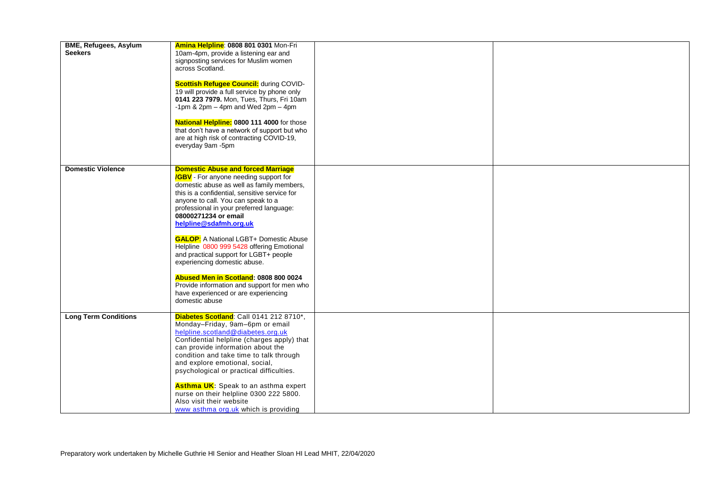| <b>BME, Refugees, Asylum</b><br><b>Seekers</b> | Amina Helpline: 0808 801 0301 Mon-Fri<br>10am-4pm, provide a listening ear and<br>signposting services for Muslim women<br>across Scotland.<br><b>Scottish Refugee Council:</b> during COVID-<br>19 will provide a full service by phone only<br>0141 223 7979. Mon, Tues, Thurs, Fri 10am<br>-1pm & 2pm $-$ 4pm and Wed 2pm $-$ 4pm<br>National Helpline: 0800 111 4000 for those<br>that don't have a network of support but who<br>are at high risk of contracting COVID-19,<br>everyday 9am -5pm                                                                                                                                                  |  |
|------------------------------------------------|-------------------------------------------------------------------------------------------------------------------------------------------------------------------------------------------------------------------------------------------------------------------------------------------------------------------------------------------------------------------------------------------------------------------------------------------------------------------------------------------------------------------------------------------------------------------------------------------------------------------------------------------------------|--|
| <b>Domestic Violence</b>                       | <b>Domestic Abuse and forced Marriage</b><br><b>/GBV</b> - For anyone needing support for<br>domestic abuse as well as family members,<br>this is a confidential, sensitive service for<br>anyone to call. You can speak to a<br>professional in your preferred language:<br>08000271234 or email<br>helpline@sdafmh.org.uk<br><b>GALOP:</b> A National LGBT+ Domestic Abuse<br>Helpline 0800 999 5428 offering Emotional<br>and practical support for LGBT+ people<br>experiencing domestic abuse.<br>Abused Men in Scotland: 0808 800 0024<br>Provide information and support for men who<br>have experienced or are experiencing<br>domestic abuse |  |
| <b>Long Term Conditions</b>                    | Diabetes Scotland: Call 0141 212 8710*,<br>Monday-Friday, 9am-6pm or email<br>helpline.scotland@diabetes.org.uk<br>Confidential helpline (charges apply) that<br>can provide information about the<br>condition and take time to talk through<br>and explore emotional, social,<br>psychological or practical difficulties.<br>Asthma UK: Speak to an asthma expert<br>nurse on their helpline 0300 222 5800.<br>Also visit their website<br>www asthma org.uk which is providing                                                                                                                                                                     |  |